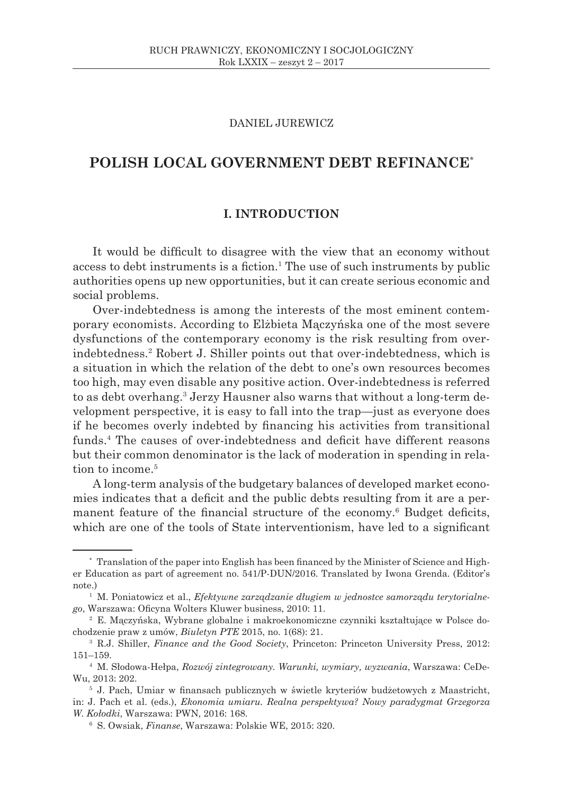## DANIEL JUREWICZ

# **POLISH LOCAL GOVERNMENT DEBT REFINANCE**\*

## **I. INTRODUCTION**

It would be difficult to disagree with the view that an economy without access to debt instruments is a fiction.<sup>1</sup> The use of such instruments by public authorities opens up new opportunities, but it can create serious economic and social problems.

Over-indebtedness is among the interests of the most eminent contemporary economists. According to Elżbieta Mączyńska one of the most severe dysfunctions of the contemporary economy is the risk resulting from overindebtedness.<sup>2</sup> Robert J. Shiller points out that over-indebtedness, which is a situation in which the relation of the debt to one's own resources becomes too high, may even disable any positive action. Over-indebtedness is referred to as debt overhang.<sup>3</sup> Jerzy Hausner also warns that without a long-term development perspective, it is easy to fall into the trap—just as everyone does if he becomes overly indebted by financing his activities from transitional funds.<sup>4</sup> The causes of over-indebtedness and deficit have different reasons but their common denominator is the lack of moderation in spending in relation to income.<sup>5</sup>

A long-term analysis of the budgetary balances of developed market economies indicates that a deficit and the public debts resulting from it are a permanent feature of the financial structure of the economy.<sup>6</sup> Budget deficits, which are one of the tools of State interventionism, have led to a significant

<sup>\*</sup> Translation of the paper into English has been financed by the Minister of Science and Higher Education as part of agreement no. 541/P-DUN/2016. Translated by Iwona Grenda. (Editor's note)

<sup>1</sup> M. Poniatowicz et al., *Efektywne zarządzanie długiem w jednostce samorządu terytorialnego*, Warszawa: Oficyna Wolters Kluwer business, 2010: 11.

<sup>2</sup> E. Mączyńska, Wybrane globalne i makroekonomiczne czynniki kształtujące w Polsce dochodzenie praw z umów, *Biuletyn PTE* 2015, no. 1(68): 21.

<sup>3</sup> R.J. Shiller, *Finance and the Good Society*, Princeton: Princeton University Press, 2012: 151–159.

<sup>4</sup> M. Słodowa-Hełpa, *Rozwój zintegrowany. Warunki, wymiary, wyzwania*, Warszawa: CeDe-Wu, 2013: 202.

<sup>5</sup> J. Pach, Umiar w finansach publicznych w świetle kryteriów budżetowych z Maastricht, in: J. Pach et al. (eds.), *Ekonomia umiaru. Realna perspektywa? Nowy paradygmat Grzegorza W. Kołodki*, Warszawa: PWN, 2016: 168.

<sup>6</sup> S. Owsiak, *Finanse*, Warszawa: Polskie WE, 2015: 320.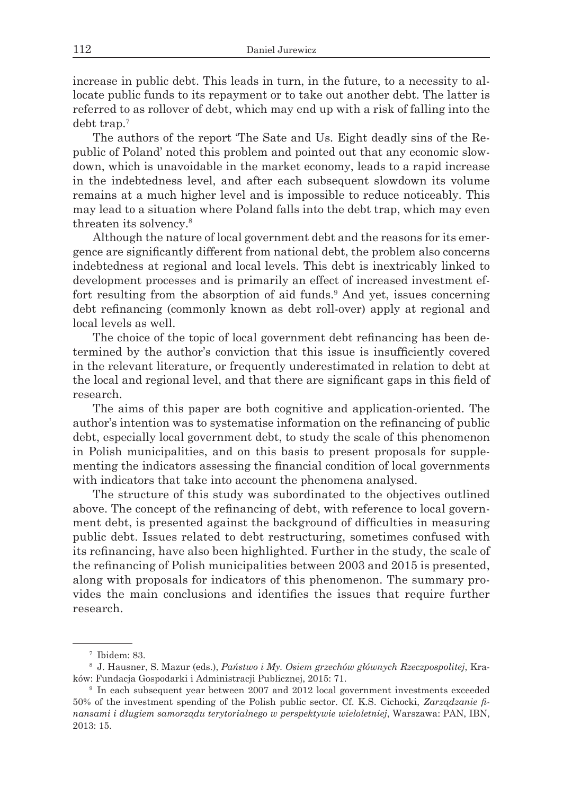increase in public debt. This leads in turn, in the future, to a necessity to allocate public funds to its repayment or to take out another debt. The latter is referred to as rollover of debt, which may end up with a risk of falling into the debt trap.<sup>7</sup>

The authors of the report 'The Sate and Us. Eight deadly sins of the Republic of Poland' noted this problem and pointed out that any economic slowdown, which is unavoidable in the market economy, leads to a rapid increase in the indebtedness level, and after each subsequent slowdown its volume remains at a much higher level and is impossible to reduce noticeably. This may lead to a situation where Poland falls into the debt trap, which may even threaten its solvency.8

Although the nature of local government debt and the reasons for its emergence are significantly different from national debt, the problem also concerns indebtedness at regional and local levels. This debt is inextricably linked to development processes and is primarily an effect of increased investment effort resulting from the absorption of aid funds.<sup>9</sup> And yet, issues concerning debt refinancing (commonly known as debt roll-over) apply at regional and local levels as well.

The choice of the topic of local government debt refinancing has been determined by the author's conviction that this issue is insufficiently covered in the relevant literature, or frequently underestimated in relation to debt at the local and regional level, and that there are significant gaps in this field of research.

The aims of this paper are both cognitive and application-oriented. The author's intention was to systematise information on the refinancing of public debt, especially local government debt, to study the scale of this phenomenon in Polish municipalities, and on this basis to present proposals for supplementing the indicators assessing the financial condition of local governments with indicators that take into account the phenomena analysed.

The structure of this study was subordinated to the objectives outlined above. The concept of the refinancing of debt, with reference to local government debt, is presented against the background of difficulties in measuring public debt. Issues related to debt restructuring, sometimes confused with its refinancing, have also been highlighted. Further in the study, the scale of the refinancing of Polish municipalities between 2003 and 2015 is presented, along with proposals for indicators of this phenomenon. The summary provides the main conclusions and identifies the issues that require further research.

<sup>7</sup> Ibidem: 83.

<sup>8</sup> J. Hausner, S. Mazur (eds.), *Państwo i My. Osiem grzechów głównych Rzeczpospolitej*, Kraków: Fundacja Gospodarki i Administracji Publicznej, 2015: 71.

<sup>9</sup> In each subsequent year between 2007 and 2012 local government investments exceeded 50% of the investment spending of the Polish public sector. Cf. K.S. Cichocki, *Zarządzanie finansami i długiem samorządu terytorialnego w perspektywie wieloletniej*, Warszawa: PAN, IBN, 2013: 15.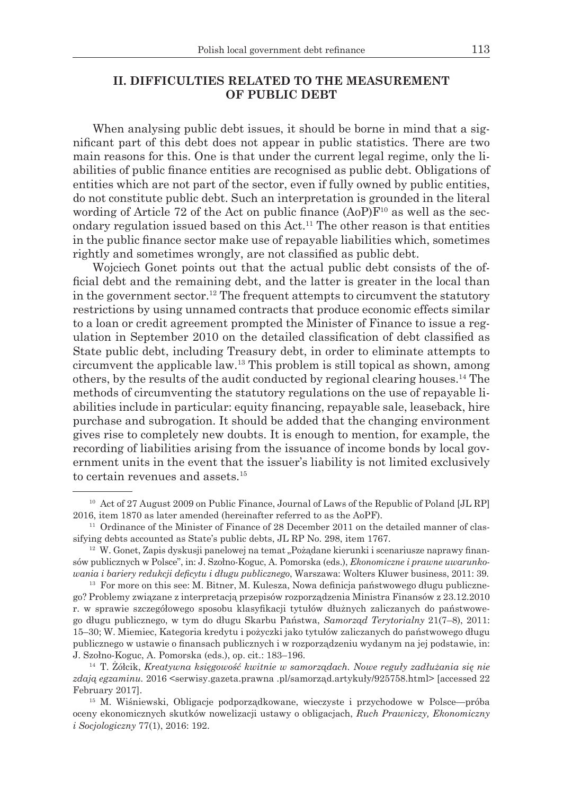## **II. DIFFICULTIES RELATED TO THE MEASUREMENT OF PUBLIC DEBT**

When analysing public debt issues, it should be borne in mind that a significant part of this debt does not appear in public statistics. There are two main reasons for this. One is that under the current legal regime, only the liabilities of public finance entities are recognised as public debt. Obligations of entities which are not part of the sector, even if fully owned by public entities, do not constitute public debt. Such an interpretation is grounded in the literal wording of Article 72 of the Act on public finance  $(AoP)F<sup>10</sup>$  as well as the secondary regulation issued based on this  $Act$ .<sup>11</sup> The other reason is that entities in the public finance sector make use of repayable liabilities which, sometimes rightly and sometimes wrongly, are not classified as public debt.

Wojciech Gonet points out that the actual public debt consists of the official debt and the remaining debt, and the latter is greater in the local than in the government sector.<sup>12</sup> The frequent attempts to circumvent the statutory restrictions by using unnamed contracts that produce economic effects similar to a loan or credit agreement prompted the Minister of Finance to issue a regulation in September 2010 on the detailed classification of debt classified as State public debt, including Treasury debt, in order to eliminate attempts to circumvent the applicable law.<sup>13</sup> This problem is still topical as shown, among others, by the results of the audit conducted by regional clearing houses.<sup>14</sup> The methods of circumventing the statutory regulations on the use of repayable liabilities include in particular: equity financing, repayable sale, leaseback, hire purchase and subrogation. It should be added that the changing environment gives rise to completely new doubts. It is enough to mention, for example, the recording of liabilities arising from the issuance of income bonds by local government units in the event that the issuer's liability is not limited exclusively to certain revenues and assets.<sup>15</sup>

<sup>&</sup>lt;sup>10</sup> Act of 27 August 2009 on Public Finance, Journal of Laws of the Republic of Poland [JL RP] 2016, item 1870 as later amended (hereinafter referred to as the AoPF).

<sup>&</sup>lt;sup>11</sup> Ordinance of the Minister of Finance of 28 December 2011 on the detailed manner of classifying debts accounted as State's public debts, JL RP No. 298, item 1767.

 $12$  W. Gonet, Zapis dyskusji panelowej na temat "Pożądane kierunki i scenariusze naprawy finansów publicznych w Polsce", in: J. Szołno-Koguc, A. Pomorska (eds.), *Ekonomiczne i prawne uwarunkowania i bariery redukcji deficytu i długu publicznego*, Warszawa: Wolters Kluwer business, 2011: 39.

<sup>&</sup>lt;sup>13</sup> For more on this see: M. Bitner, M. Kulesza, Nowa definicja państwowego długu publicznego? Problemy związane z interpretacją przepisów rozporządzenia Ministra Finansów z 23.12.2010 r. w sprawie szczegółowego sposobu klasyfikacji tytułów dłużnych zaliczanych do państwowego długu publicznego, w tym do długu Skarbu Państwa, *Samorząd Terytorialny* 21(7–8), 2011: 15–30; W. Miemiec, Kategoria kredytu i pożyczki jako tytułów zaliczanych do państwowego długu publicznego w ustawie o finansach publicznych i w rozporządzeniu wydanym na jej podstawie, in: J. Szołno-Koguc, A. Pomorska (eds.), op. cit.: 183–196.

<sup>14</sup> T. Żółcik, *Kreatywna księgowość kwitnie w samorządach. Nowe reguły zadłużania się nie zdają egzaminu.* 2016 <serwisy.gazeta.prawna .pl/samorząd.artykuły/925758.html> [accessed 22 February 2017].

<sup>15</sup> M. Wiśniewski, Obligacje podporządkowane, wieczyste i przychodowe w Polsce—próba oceny ekonomicznych skutków nowelizacji ustawy o obligacjach, *Ruch Prawniczy, Ekonomiczny i Socjologiczny* 77(1), 2016: 192.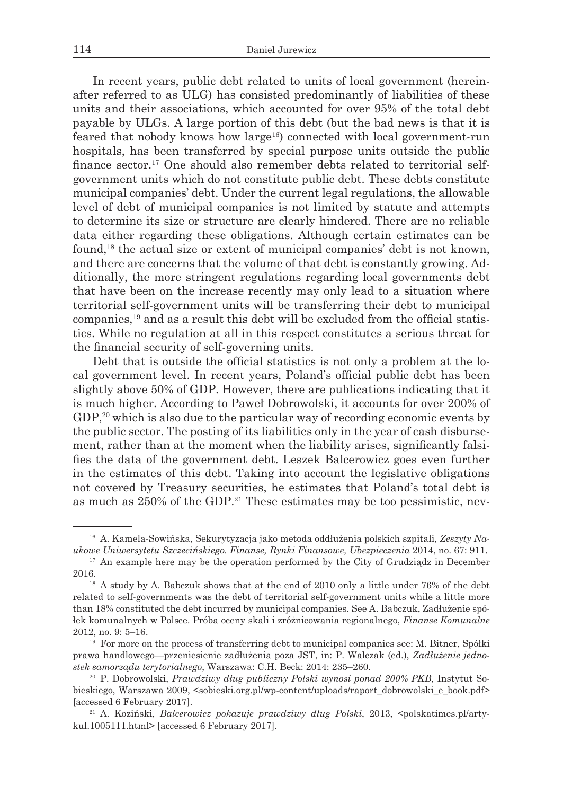In recent years, public debt related to units of local government (hereinafter referred to as ULG) has consisted predominantly of liabilities of these units and their associations, which accounted for over 95% of the total debt payable by ULGs. A large portion of this debt (but the bad news is that it is feared that nobody knows how large<sup>16</sup>) connected with local government-run hospitals, has been transferred by special purpose units outside the public finance sector.17 One should also remember debts related to territorial selfgovernment units which do not constitute public debt. These debts constitute municipal companies' debt. Under the current legal regulations, the allowable level of debt of municipal companies is not limited by statute and attempts to determine its size or structure are clearly hindered. There are no reliable data either regarding these obligations. Although certain estimates can be found,18 the actual size or extent of municipal companies' debt is not known, and there are concerns that the volume of that debt is constantly growing. Additionally, the more stringent regulations regarding local governments debt that have been on the increase recently may only lead to a situation where territorial self-government units will be transferring their debt to municipal companies,19 and as a result this debt will be excluded from the official statistics. While no regulation at all in this respect constitutes a serious threat for the financial security of self-governing units.

Debt that is outside the official statistics is not only a problem at the local government level. In recent years, Poland's official public debt has been slightly above 50% of GDP. However, there are publications indicating that it is much higher. According to Paweł Dobrowolski, it accounts for over 200% of  $GDP<sub>1</sub><sup>20</sup>$  which is also due to the particular way of recording economic events by the public sector. The posting of its liabilities only in the year of cash disbursement, rather than at the moment when the liability arises, significantly falsifies the data of the government debt. Leszek Balcerowicz goes even further in the estimates of this debt. Taking into account the legislative obligations not covered by Treasury securities, he estimates that Poland's total debt is as much as  $250\%$  of the GDP.<sup>21</sup> These estimates may be too pessimistic, nev-

<sup>16</sup> A. Kamela-Sowińska, Sekurytyzacja jako metoda oddłużenia polskich szpitali, *Zeszyty Naukowe Uniwersytetu Szczecińskiego. Finanse, Rynki Finansowe, Ubezpieczenia* 2014, no. 67: 911.

<sup>&</sup>lt;sup>17</sup> An example here may be the operation performed by the City of Grudziadz in December 2016.

<sup>&</sup>lt;sup>18</sup> A study by A. Babczuk shows that at the end of 2010 only a little under 76% of the debt related to self-governments was the debt of territorial self-government units while a little more than 18% constituted the debt incurred by municipal companies. See A. Babczuk, Zadłużenie spółek komunalnych w Polsce. Próba oceny skali i zróżnicowania regionalnego, *Finanse Komunalne* 2012, no. 9: 5–16.

<sup>19</sup> For more on the process of transferring debt to municipal companies see: M. Bitner, Spółki prawa handlowego—przeniesienie zadłużenia poza JST, in: P. Walczak (ed.), *Zadłużenie jednostek samorządu terytorialnego*, Warszawa: C.H. Beck: 2014: 235–260.

<sup>20</sup> P. Dobrowolski, *Prawdziwy dług publiczny Polski wynosi ponad 200% PKB*, Instytut Sobieskiego, Warszawa 2009, <sobieski.org.pl/wp-content/uploads/raport\_dobrowolski\_e\_book.pdf> [accessed 6 February 2017].

<sup>&</sup>lt;sup>21</sup> A. Koziński, *Balcerowicz pokazuje prawdziwy dług Polski*, 2013, <polskatimes.pl/artykul.1005111.html> [accessed 6 February 2017].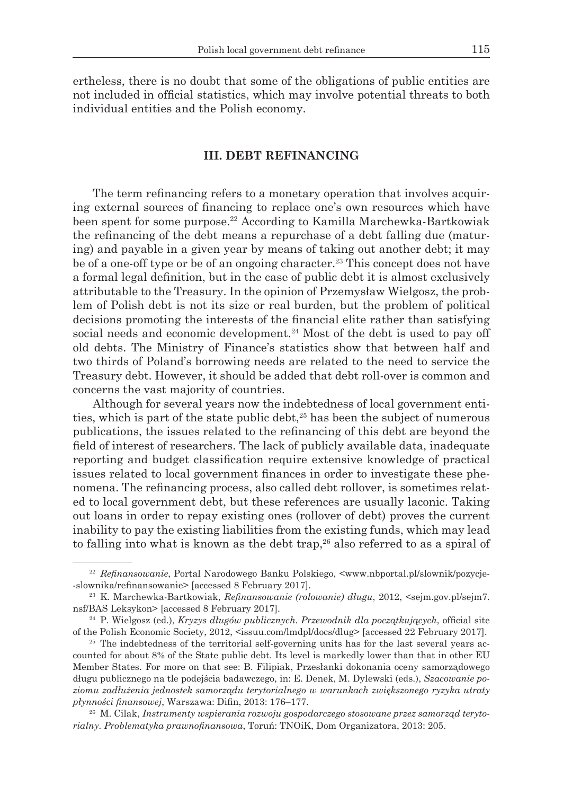ertheless, there is no doubt that some of the obligations of public entities are not included in official statistics, which may involve potential threats to both individual entities and the Polish economy.

## **III. DEBT REFINANCING**

The term refinancing refers to a monetary operation that involves acquiring external sources of financing to replace one's own resources which have been spent for some purpose.<sup>22</sup> According to Kamilla Marchewka-Bartkowiak the refinancing of the debt means a repurchase of a debt falling due (maturing) and payable in a given year by means of taking out another debt; it may be of a one-off type or be of an ongoing character.<sup>23</sup> This concept does not have a formal legal definition, but in the case of public debt it is almost exclusively attributable to the Treasury. In the opinion of Przemysław Wielgosz, the problem of Polish debt is not its size or real burden, but the problem of political decisions promoting the interests of the financial elite rather than satisfying social needs and economic development.<sup>24</sup> Most of the debt is used to pay off old debts. The Ministry of Finance's statistics show that between half and two thirds of Poland's borrowing needs are related to the need to service the Treasury debt. However, it should be added that debt roll-over is common and concerns the vast majority of countries.

Although for several years now the indebtedness of local government entities, which is part of the state public debt, $25$  has been the subject of numerous publications, the issues related to the refinancing of this debt are beyond the field of interest of researchers. The lack of publicly available data, inadequate reporting and budget classification require extensive knowledge of practical issues related to local government finances in order to investigate these phenomena. The refinancing process, also called debt rollover, is sometimes related to local government debt, but these references are usually laconic. Taking out loans in order to repay existing ones (rollover of debt) proves the current inability to pay the existing liabilities from the existing funds, which may lead to falling into what is known as the debt trap, $26$  also referred to as a spiral of

<sup>22</sup> *Refinansowanie*, Portal Narodowego Banku Polskiego, <www.nbportal.pl/slownik/pozycje- -slownika/refinansowanie> [accessed 8 February 2017].

<sup>23</sup> K. Marchewka-Bartkowiak, *Refinansowanie (rolowanie) długu*, 2012, <sejm.gov.pl/sejm7. nsf/BAS Leksykon> [accessed 8 February 2017].

<sup>24</sup> P. Wielgosz (ed.), *Kryzys długów publicznych. Przewodnik dla początkujących*, official site of the Polish Economic Society, 2012, <issuu.com/lmdpl/docs/dlug> [accessed 22 February 2017].

<sup>&</sup>lt;sup>25</sup> The indebtedness of the territorial self-governing units has for the last several years accounted for about 8% of the State public debt. Its level is markedly lower than that in other EU Member States. For more on that see: B. Filipiak, Przesłanki dokonania oceny samorządowego długu publicznego na tle podejścia badawczego, in: E. Denek, M. Dylewski (eds.), *Szacowanie poziomu zadłużenia jednostek samorządu terytorialnego w warunkach zwiększonego ryzyka utraty płynności finansowej*, Warszawa: Difin, 2013: 176–177.

<sup>26</sup> M. Cilak, *Instrumenty wspierania rozwoju gospodarczego stosowane przez samorząd terytorialny. Problematyka prawnofinansowa*, Toruń: TNOiK, Dom Organizatora, 2013: 205.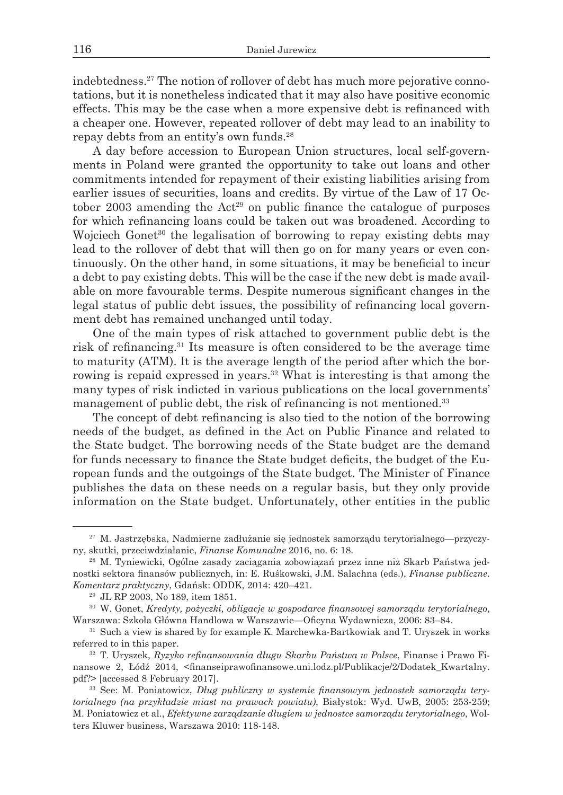indebtedness.27 The notion of rollover of debt has much more pejorative connotations, but it is nonetheless indicated that it may also have positive economic effects. This may be the case when a more expensive debt is refinanced with a cheaper one. However, repeated rollover of debt may lead to an inability to repay debts from an entity's own funds.28

A day before accession to European Union structures, local self-governments in Poland were granted the opportunity to take out loans and other commitments intended for repayment of their existing liabilities arising from earlier issues of securities, loans and credits. By virtue of the Law of 17 October 2003 amending the  $Act^{29}$  on public finance the catalogue of purposes for which refinancing loans could be taken out was broadened. According to Wojciech Gonet<sup>30</sup> the legalisation of borrowing to repay existing debts may lead to the rollover of debt that will then go on for many years or even continuously. On the other hand, in some situations, it may be beneficial to incur a debt to pay existing debts. This will be the case if the new debt is made available on more favourable terms. Despite numerous significant changes in the legal status of public debt issues, the possibility of refinancing local government debt has remained unchanged until today.

One of the main types of risk attached to government public debt is the risk of refinancing.<sup>31</sup> Its measure is often considered to be the average time to maturity (ATM). It is the average length of the period after which the borrowing is repaid expressed in years.<sup>32</sup> What is interesting is that among the many types of risk indicted in various publications on the local governments' management of public debt, the risk of refinancing is not mentioned.<sup>33</sup>

The concept of debt refinancing is also tied to the notion of the borrowing needs of the budget, as defined in the Act on Public Finance and related to the State budget. The borrowing needs of the State budget are the demand for funds necessary to finance the State budget deficits, the budget of the European funds and the outgoings of the State budget. The Minister of Finance publishes the data on these needs on a regular basis, but they only provide information on the State budget. Unfortunately, other entities in the public

<sup>27</sup> M. Jastrzębska, Nadmierne zadłużanie się jednostek samorządu terytorialnego—przyczyny, skutki, przeciwdziałanie, *Finanse Komunalne* 2016, no. 6: 18.

<sup>28</sup> M. Tyniewicki, Ogólne zasady zaciągania zobowiązań przez inne niż Skarb Państwa jednostki sektora finansów publicznych, in: E. Ruśkowski, J.M. Salachna (eds.), *Finanse publiczne. Komentarz praktyczny*, Gdańsk: ODDK, 2014: 420–421.

<sup>29</sup> JL RP 2003, No 189, item 1851.

<sup>30</sup> W. Gonet, *Kredyty, pożyczki, obligacje w gospodarce finansowej samorządu terytorialnego*, Warszawa: Szkoła Główna Handlowa w Warszawie—Oficyna Wydawnicza, 2006: 83–84.

<sup>31</sup> Such a view is shared by for example K. Marchewka-Bartkowiak and T. Uryszek in works referred to in this paper.

<sup>32</sup> T. Uryszek, *Ryzyko refinansowania długu Skarbu Państwa w Polsce*, Finanse i Prawo Finansowe 2, Łódź 2014, <finanseiprawofinansowe.uni.lodz.pl/Publikacje/2/Dodatek\_Kwartalny. pdf?> [accessed 8 February 2017].

<sup>33</sup> See: M. Poniatowicz, *Dług publiczny w systemie finansowym jednostek samorządu terytorialnego (na przykładzie miast na prawach powiatu)*, Białystok: Wyd. UwB, 2005: 253-259; M. Poniatowicz et al., *Efektywne zarządzanie długiem w jednostce samorządu terytorialnego*, Wolters Kluwer business, Warszawa 2010: 118-148.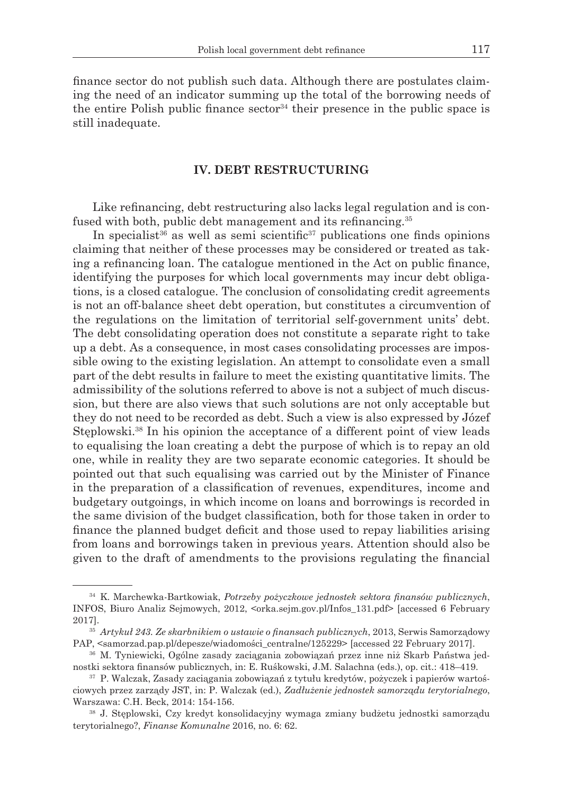finance sector do not publish such data. Although there are postulates claiming the need of an indicator summing up the total of the borrowing needs of the entire Polish public finance sector<sup>34</sup> their presence in the public space is still inadequate.

### **IV. DEBT RESTRUCTURING**

Like refinancing, debt restructuring also lacks legal regulation and is confused with both, public debt management and its refinancing.<sup>35</sup>

In specialist<sup>36</sup> as well as semi scientific<sup>37</sup> publications one finds opinions claiming that neither of these processes may be considered or treated as taking a refinancing loan. The catalogue mentioned in the Act on public finance, identifying the purposes for which local governments may incur debt obligations, is a closed catalogue. The conclusion of consolidating credit agreements is not an off-balance sheet debt operation, but constitutes a circumvention of the regulations on the limitation of territorial self-government units' debt. The debt consolidating operation does not constitute a separate right to take up a debt. As a consequence, in most cases consolidating processes are impossible owing to the existing legislation. An attempt to consolidate even a small part of the debt results in failure to meet the existing quantitative limits. The admissibility of the solutions referred to above is not a subject of much discussion, but there are also views that such solutions are not only acceptable but they do not need to be recorded as debt. Such a view is also expressed by Józef Steplowski.<sup>38</sup> In his opinion the acceptance of a different point of view leads to equalising the loan creating a debt the purpose of which is to repay an old one, while in reality they are two separate economic categories. It should be pointed out that such equalising was carried out by the Minister of Finance in the preparation of a classification of revenues, expenditures, income and budgetary outgoings, in which income on loans and borrowings is recorded in the same division of the budget classification, both for those taken in order to finance the planned budget deficit and those used to repay liabilities arising from loans and borrowings taken in previous years. Attention should also be given to the draft of amendments to the provisions regulating the financial

<sup>34</sup> K. Marchewka-Bartkowiak, *Potrzeby pożyczkowe jednostek sektora finansów publicznych*, INFOS, Biuro Analiz Sejmowych, 2012, <orka.sejm.gov.pl/Infos\_131.pdf> [accessed 6 February 2017].

<sup>35</sup> *Artykuł 243. Ze skarbnikiem o ustawie o finansach publicznych*, 2013, Serwis Samorządowy PAP, <samorzad.pap.pl/depesze/wiadomości\_centralne/125229> [accessed 22 February 2017].

<sup>36</sup> M. Tyniewicki, Ogólne zasady zaciągania zobowiązań przez inne niż Skarb Państwa jednostki sektora finansów publicznych, in: E. Ruśkowski, J.M. Salachna (eds.), op. cit.: 418–419.

<sup>37</sup> P. Walczak, Zasady zaciągania zobowiązań z tytułu kredytów, pożyczek i papierów wartościowych przez zarządy JST, in: P. Walczak (ed.), *Zadłużenie jednostek samorządu terytorialnego*, Warszawa: C.H. Beck, 2014: 154-156.

<sup>38</sup> J. Stęplowski, Czy kredyt konsolidacyjny wymaga zmiany budżetu jednostki samorządu terytorialnego?, *Finanse Komunalne* 2016, no. 6: 62.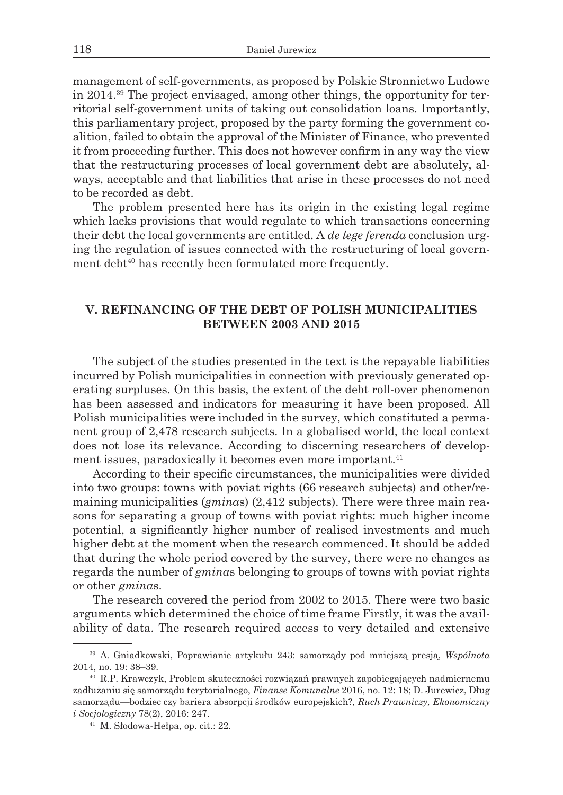management of self-governments, as proposed by Polskie Stronnictwo Ludowe in 2014.39 The project envisaged, among other things, the opportunity for territorial self-government units of taking out consolidation loans. Importantly, this parliamentary project, proposed by the party forming the government coalition, failed to obtain the approval of the Minister of Finance, who prevented it from proceeding further. This does not however confirm in any way the view that the restructuring processes of local government debt are absolutely, always, acceptable and that liabilities that arise in these processes do not need to be recorded as debt.

The problem presented here has its origin in the existing legal regime which lacks provisions that would regulate to which transactions concerning their debt the local governments are entitled. A *de lege ferenda* conclusion urging the regulation of issues connected with the restructuring of local government debt<sup>40</sup> has recently been formulated more frequently.

# **V. REFINANCING OF THE DEBT OF POLISH MUNICIPALITIES BETWEEN 2003 AND 2015**

The subject of the studies presented in the text is the repayable liabilities incurred by Polish municipalities in connection with previously generated operating surpluses. On this basis, the extent of the debt roll-over phenomenon has been assessed and indicators for measuring it have been proposed. All Polish municipalities were included in the survey, which constituted a permanent group of 2,478 research subjects. In a globalised world, the local context does not lose its relevance. According to discerning researchers of development issues, paradoxically it becomes even more important.<sup>41</sup>

According to their specific circumstances, the municipalities were divided into two groups: towns with poviat rights (66 research subjects) and other/remaining municipalities (*gmina*s) (2,412 subjects). There were three main reasons for separating a group of towns with poviat rights: much higher income potential, a significantly higher number of realised investments and much higher debt at the moment when the research commenced. It should be added that during the whole period covered by the survey, there were no changes as regards the number of *gmina*s belonging to groups of towns with poviat rights or other *gmina*s.

The research covered the period from 2002 to 2015. There were two basic arguments which determined the choice of time frame Firstly, it was the availability of data. The research required access to very detailed and extensive

<sup>39</sup> A. Gniadkowski, Poprawianie artykułu 243: samorządy pod mniejszą presją, *Wspólnota* 2014, no. 19: 38–39.

<sup>40</sup> R.P. Krawczyk, Problem skuteczności rozwiązań prawnych zapobiegających nadmiernemu zadłużaniu się samorządu terytorialnego, *Finanse Komunalne* 2016, no. 12: 18; D. Jurewicz, Dług samorządu—bodziec czy bariera absorpcji środków europejskich?, *Ruch Prawniczy, Ekonomiczny i Socjologiczny* 78(2), 2016: 247.

<sup>41</sup> M. Słodowa-Hełpa, op. cit.: 22.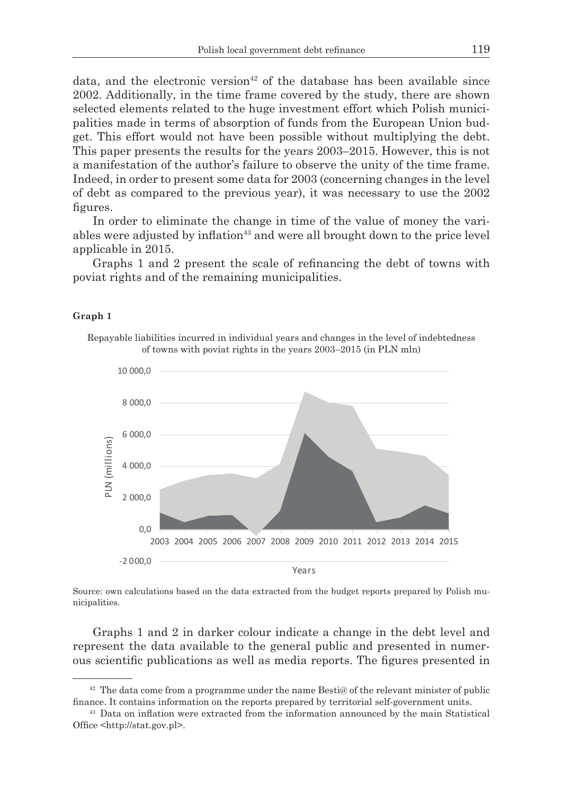data, and the electronic version<sup>42</sup> of the database has been available since 2002. Additionally, in the time frame covered by the study, there are shown selected elements related to the huge investment effort which Polish municipalities made in terms of absorption of funds from the European Union budget. This effort would not have been possible without multiplying the debt. This paper presents the results for the years 2003–2015. However, this is not a manifestation of the author's failure to observe the unity of the time frame. Indeed, in order to present some data for 2003 (concerning changes in the level of debt as compared to the previous year), it was necessary to use the 2002 figures.

In order to eliminate the change in time of the value of money the variables were adjusted by inflation<sup>43</sup> and were all brought down to the price level applicable in 2015.

Graphs 1 and 2 present the scale of refinancing the debt of towns with poviat rights and of the remaining municipalities.

### **Graph 1**

Repayable liabilities incurred in individual years and changes in the level of indebtedness of towns with poviat rights in the years 2003–2015 (in PLN mln)



Source: own calculations based on the data extracted from the budget reports prepared by Polish municipalities.

Graphs 1 and 2 in darker colour indicate a change in the debt level and represent the data available to the general public and presented in numerous scientific publications as well as media reports. The figures presented in

 $42$  The data come from a programme under the name Besti@ of the relevant minister of public finance. It contains information on the reports prepared by territorial self-government units.

<sup>43</sup> Data on inflation were extracted from the information announced by the main Statistical Office <http://stat.gov.pl>.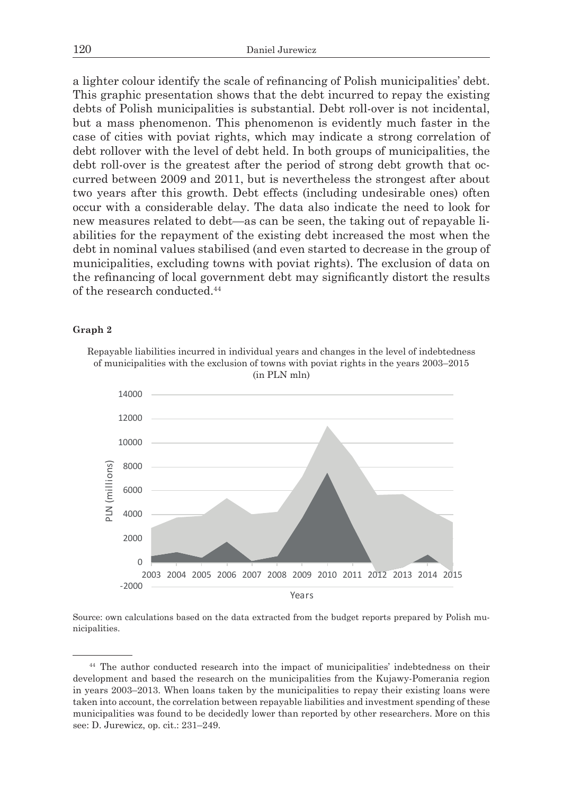a lighter colour identify the scale of refinancing of Polish municipalities' debt. This graphic presentation shows that the debt incurred to repay the existing debts of Polish municipalities is substantial. Debt roll-over is not incidental, but a mass phenomenon. This phenomenon is evidently much faster in the case of cities with poviat rights, which may indicate a strong correlation of debt rollover with the level of debt held. In both groups of municipalities, the debt roll-over is the greatest after the period of strong debt growth that occurred between 2009 and 2011, but is nevertheless the strongest after about two years after this growth. Debt effects (including undesirable ones) often occur with a considerable delay. The data also indicate the need to look for new measures related to debt—as can be seen, the taking out of repayable liabilities for the repayment of the existing debt increased the most when the debt in nominal values stabilised (and even started to decrease in the group of municipalities, excluding towns with poviat rights). The exclusion of data on the refinancing of local government debt may significantly distort the results of the research conducted.<sup>44</sup>

#### **Graph 2**

Repayable liabilities incurred in individual years and changes in the level of indebtedness of municipalities with the exclusion of towns with poviat rights in the years 2003–2015 (in PLN mln)



Source: own calculations based on the data extracted from the budget reports prepared by Polish municipalities.

<sup>44</sup> The author conducted research into the impact of municipalities' indebtedness on their development and based the research on the municipalities from the Kujawy-Pomerania region in years 2003–2013. When loans taken by the municipalities to repay their existing loans were taken into account, the correlation between repayable liabilities and investment spending of these municipalities was found to be decidedly lower than reported by other researchers. More on this see: D. Jurewicz, op. cit.: 231–249.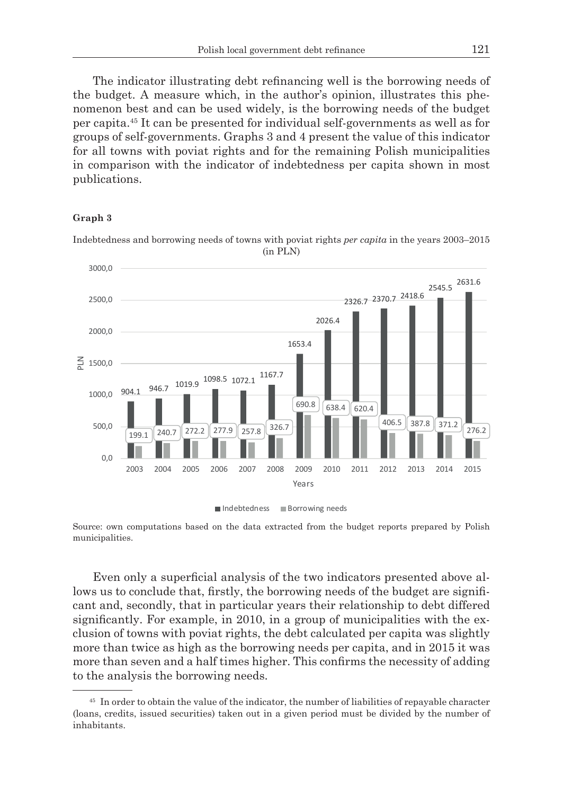The indicator illustrating debt refinancing well is the borrowing needs of the budget. A measure which, in the author's opinion, illustrates this phenomenon best and can be used widely, is the borrowing needs of the budget per capita.<sup>45</sup> It can be presented for individual self-governments as well as for groups of self-governments. Graphs 3 and 4 present the value of this indicator for all towns with poviat rights and for the remaining Polish municipalities in comparison with the indicator of indebtedness per capita shown in most publications.

### **Graph 3**

Indebtedness and borrowing needs of towns with poviat rights *per capita* in the years 2003–2015 (in PLN)



Indebtedness Borrowing needs

Source: own computations based on the data extracted from the budget reports prepared by Polish municipalities.

Even only a superficial analysis of the two indicators presented above allows us to conclude that, firstly, the borrowing needs of the budget are significant and, secondly, that in particular years their relationship to debt differed significantly. For example, in 2010, in a group of municipalities with the exclusion of towns with poviat rights, the debt calculated per capita was slightly more than twice as high as the borrowing needs per capita, and in 2015 it was more than seven and a half times higher. This confirms the necessity of adding to the analysis the borrowing needs.

<sup>&</sup>lt;sup>45</sup> In order to obtain the value of the indicator, the number of liabilities of repayable character (loans, credits, issued securities) taken out in a given period must be divided by the number of inhabitants.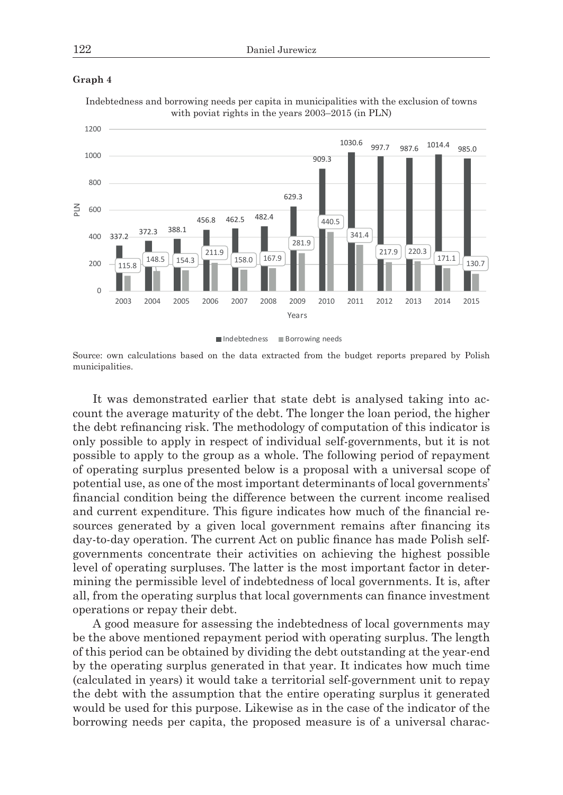

**Graph 4**

Indebtedness and borrowing needs per capita in municipalities with the exclusion of towns with poviat rights in the years 2003–2015 (in PLN)

Indebtedness **Borrowing needs** 

Source: own calculations based on the data extracted from the budget reports prepared by Polish municipalities.

It was demonstrated earlier that state debt is analysed taking into account the average maturity of the debt. The longer the loan period, the higher the debt refinancing risk. The methodology of computation of this indicator is only possible to apply in respect of individual self-governments, but it is not possible to apply to the group as a whole. The following period of repayment of operating surplus presented below is a proposal with a universal scope of potential use, as one of the most important determinants of local governments' financial condition being the difference between the current income realised and current expenditure. This figure indicates how much of the financial resources generated by a given local government remains after financing its day-to-day operation. The current Act on public finance has made Polish selfgovernments concentrate their activities on achieving the highest possible level of operating surpluses. The latter is the most important factor in determining the permissible level of indebtedness of local governments. It is, after all, from the operating surplus that local governments can finance investment operations or repay their debt.

A good measure for assessing the indebtedness of local governments may be the above mentioned repayment period with operating surplus. The length of this period can be obtained by dividing the debt outstanding at the year-end by the operating surplus generated in that year. It indicates how much time (calculated in years) it would take a territorial self-government unit to repay the debt with the assumption that the entire operating surplus it generated would be used for this purpose. Likewise as in the case of the indicator of the borrowing needs per capita, the proposed measure is of a universal charac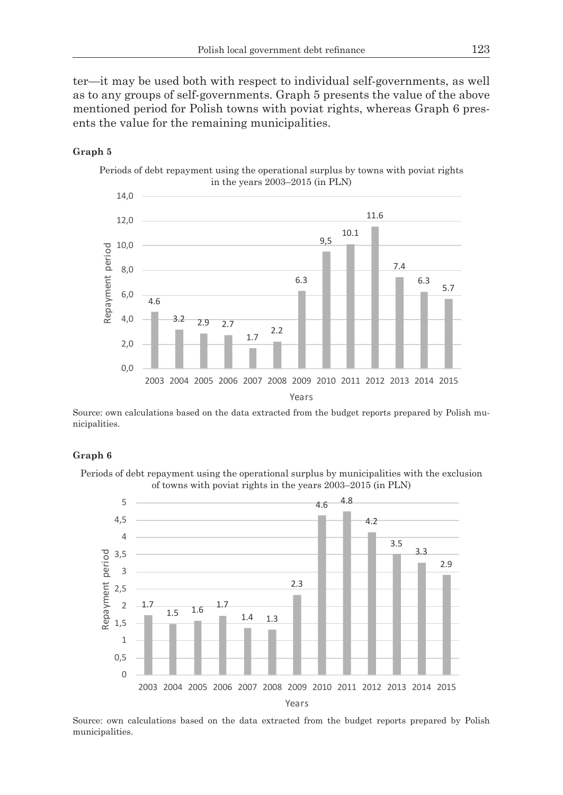ter—it may be used both with respect to individual self-governments, as well as to any groups of self-governments. Graph 5 presents the value of the above mentioned period for Polish towns with poviat rights, whereas Graph 6 presents the value for the remaining municipalities.

### **Graph 5**

Periods of debt repayment using the operational surplus by towns with poviat rights in the years 2003–2015 (in PLN)



Source: own calculations based on the data extracted from the budget reports prepared by Polish municipalities.

### **Graph 6**

Periods of debt repayment using the operational surplus by municipalities with the exclusion of towns with poviat rights in the years 2003–2015 (in PLN)



Source: own calculations based on the data extracted from the budget reports prepared by Polish municipalities.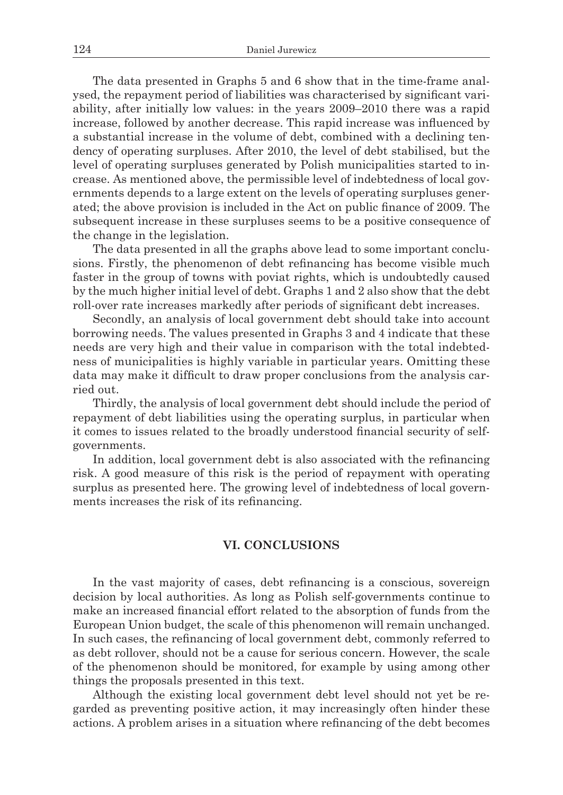The data presented in Graphs 5 and 6 show that in the time-frame analysed, the repayment period of liabilities was characterised by significant variability, after initially low values: in the years 2009–2010 there was a rapid increase, followed by another decrease. This rapid increase was influenced by a substantial increase in the volume of debt, combined with a declining tendency of operating surpluses. After 2010, the level of debt stabilised, but the level of operating surpluses generated by Polish municipalities started to increase. As mentioned above, the permissible level of indebtedness of local governments depends to a large extent on the levels of operating surpluses generated; the above provision is included in the Act on public finance of 2009. The subsequent increase in these surpluses seems to be a positive consequence of the change in the legislation.

The data presented in all the graphs above lead to some important conclusions. Firstly, the phenomenon of debt refinancing has become visible much faster in the group of towns with poviat rights, which is undoubtedly caused by the much higher initial level of debt. Graphs 1 and 2 also show that the debt roll-over rate increases markedly after periods of significant debt increases.

Secondly, an analysis of local government debt should take into account borrowing needs. The values presented in Graphs 3 and 4 indicate that these needs are very high and their value in comparison with the total indebtedness of municipalities is highly variable in particular years. Omitting these data may make it difficult to draw proper conclusions from the analysis carried out.

Thirdly, the analysis of local government debt should include the period of repayment of debt liabilities using the operating surplus, in particular when it comes to issues related to the broadly understood financial security of selfgovernments.

In addition, local government debt is also associated with the refinancing risk. A good measure of this risk is the period of repayment with operating surplus as presented here. The growing level of indebtedness of local governments increases the risk of its refinancing.

## **VI. CONCLUSIONS**

In the vast majority of cases, debt refinancing is a conscious, sovereign decision by local authorities. As long as Polish self-governments continue to make an increased financial effort related to the absorption of funds from the European Union budget, the scale of this phenomenon will remain unchanged. In such cases, the refinancing of local government debt, commonly referred to as debt rollover, should not be a cause for serious concern. However, the scale of the phenomenon should be monitored, for example by using among other things the proposals presented in this text.

Although the existing local government debt level should not yet be regarded as preventing positive action, it may increasingly often hinder these actions. A problem arises in a situation where refinancing of the debt becomes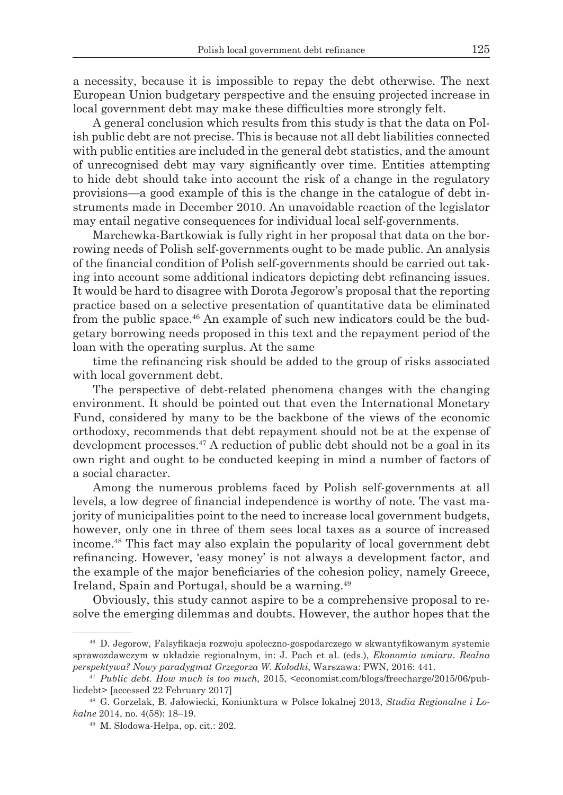a necessity, because it is impossible to repay the debt otherwise. The next European Union budgetary perspective and the ensuing projected increase in local government debt may make these difficulties more strongly felt.

A general conclusion which results from this study is that the data on Polish public debt are not precise. This is because not all debt liabilities connected with public entities are included in the general debt statistics, and the amount of unrecognised debt may vary significantly over time. Entities attempting to hide debt should take into account the risk of a change in the regulatory provisions—a good example of this is the change in the catalogue of debt instruments made in December 2010. An unavoidable reaction of the legislator may entail negative consequences for individual local self-governments.

Marchewka-Bartkowiak is fully right in her proposal that data on the borrowing needs of Polish self-governments ought to be made public. An analysis of the financial condition of Polish self-governments should be carried out taking into account some additional indicators depicting debt refinancing issues. It would be hard to disagree with Dorota Jegorow's proposal that the reporting practice based on a selective presentation of quantitative data be eliminated from the public space.46 An example of such new indicators could be the budgetary borrowing needs proposed in this text and the repayment period of the loan with the operating surplus. At the same

time the refinancing risk should be added to the group of risks associated with local government debt.

The perspective of debt-related phenomena changes with the changing environment. It should be pointed out that even the International Monetary Fund, considered by many to be the backbone of the views of the economic orthodoxy, recommends that debt repayment should not be at the expense of development processes.<sup>47</sup> A reduction of public debt should not be a goal in its own right and ought to be conducted keeping in mind a number of factors of a social character.

Among the numerous problems faced by Polish self-governments at all levels, a low degree of financial independence is worthy of note. The vast majority of municipalities point to the need to increase local government budgets, however, only one in three of them sees local taxes as a source of increased income.48 This fact may also explain the popularity of local government debt refinancing. However, 'easy money' is not always a development factor, and the example of the major beneficiaries of the cohesion policy, namely Greece, Ireland, Spain and Portugal, should be a warning.<sup>49</sup>

Obviously, this study cannot aspire to be a comprehensive proposal to resolve the emerging dilemmas and doubts. However, the author hopes that the

<sup>46</sup> D. Jegorow, Falsyfikacja rozwoju społeczno-gospodarczego w skwantyfikowanym systemie sprawozdawczym w układzie regionalnym, in: J. Pach et al. (eds.), *Ekonomia umiaru. Realna perspektywa? Nowy paradygmat Grzegorza W. Kołodki*, Warszawa: PWN, 2016: 441.

<sup>47</sup> *Public debt. How much is too much,* 2015, <economist.com/blogs/freecharge/2015/06/publicdebt> [accessed 22 February 2017]

<sup>48</sup> G. Gorzelak, B. Jałowiecki, Koniunktura w Polsce lokalnej 2013, *Studia Regionalne i Lokalne* 2014, no. 4(58): 18–19.

<sup>49</sup> M. Słodowa-Hełpa, op. cit.: 202.